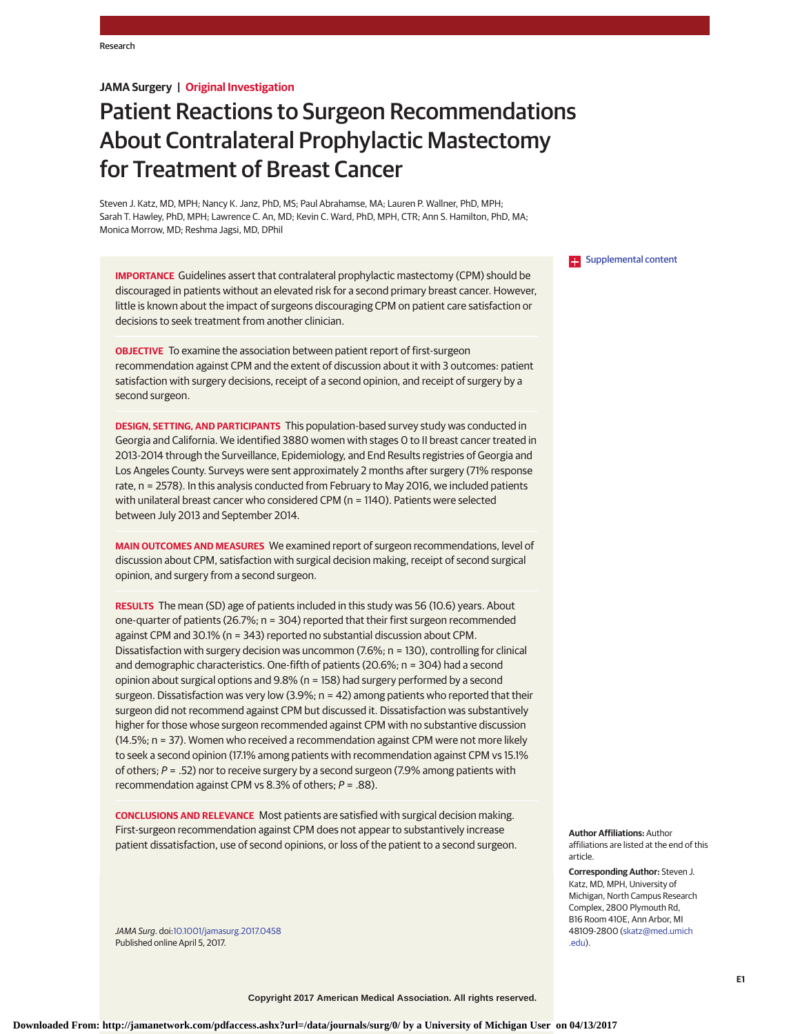# **JAMA Surgery | Original Investigation**

# Patient Reactions to Surgeon Recommendations About Contralateral Prophylactic Mastectomy for Treatment of Breast Cancer

Steven J. Katz, MD, MPH; Nancy K. Janz, PhD, MS; Paul Abrahamse, MA; Lauren P. Wallner, PhD, MPH; Sarah T. Hawley, PhD, MPH; Lawrence C. An, MD; Kevin C. Ward, PhD, MPH, CTR; Ann S. Hamilton, PhD, MA; Monica Morrow, MD; Reshma Jagsi, MD, DPhil

**IMPORTANCE** Guidelines assert that contralateral prophylactic mastectomy (CPM) should be discouraged in patients without an elevated risk for a second primary breast cancer. However, little is known about the impact of surgeons discouraging CPM on patient care satisfaction or decisions to seek treatment from another clinician.

**OBJECTIVE** To examine the association between patient report of first-surgeon recommendation against CPM and the extent of discussion about it with 3 outcomes: patient satisfaction with surgery decisions, receipt of a second opinion, and receipt of surgery by a second surgeon.

**DESIGN, SETTING, AND PARTICIPANTS** This population-based survey study was conducted in Georgia and California. We identified 3880 women with stages 0 to II breast cancer treated in 2013-2014 through the Surveillance, Epidemiology, and End Results registries of Georgia and Los Angeles County. Surveys were sent approximately 2 months after surgery (71% response rate, n = 2578). In this analysis conducted from February to May 2016, we included patients with unilateral breast cancer who considered CPM (n = 1140). Patients were selected between July 2013 and September 2014.

**MAIN OUTCOMES AND MEASURES** We examined report of surgeon recommendations, level of discussion about CPM, satisfaction with surgical decision making, receipt of second surgical opinion, and surgery from a second surgeon.

**RESULTS** The mean (SD) age of patients included in this study was 56 (10.6) years. About one-quarter of patients (26.7%; n = 304) reported that their first surgeon recommended against CPM and 30.1% (n = 343) reported no substantial discussion about CPM. Dissatisfaction with surgery decision was uncommon (7.6%; n = 130), controlling for clinical and demographic characteristics. One-fifth of patients (20.6%; n = 304) had a second opinion about surgical options and 9.8% (n = 158) had surgery performed by a second surgeon. Dissatisfaction was very low  $(3.9\%; n = 42)$  among patients who reported that their surgeon did not recommend against CPM but discussed it. Dissatisfaction was substantively higher for those whose surgeon recommended against CPM with no substantive discussion (14.5%; n = 37). Women who received a recommendation against CPM were not more likely to seek a second opinion (17.1% among patients with recommendation against CPM vs 15.1% of others;  $P = .52$ ) nor to receive surgery by a second surgeon (7.9% among patients with recommendation against CPM vs 8.3% of others;  $P = .88$ ).

**CONCLUSIONS AND RELEVANCE** Most patients are satisfied with surgical decision making. First-surgeon recommendation against CPM does not appear to substantively increase patient dissatisfaction, use of second opinions, or loss of the patient to a second surgeon.

JAMA Surg. doi[:10.1001/jamasurg.2017.0458](http://jama.jamanetwork.com/article.aspx?doi=10.1001/jamasurg.2017.0458&utm_campaign=articlePDF%26utm_medium=articlePDFlink%26utm_source=articlePDF%26utm_content=jamasurg.2017.0458) Published online April 5, 2017.

**Examplemental content** 

**Author Affiliations:** Author affiliations are listed at the end of this article.

**Corresponding Author:** Steven J. Katz, MD, MPH, University of Michigan, North Campus Research Complex, 2800 Plymouth Rd, B16 Room 410E, Ann Arbor, MI 48109-2800 [\(skatz@med.umich](mailto:skatz@med.umich.edu) [.edu\)](mailto:skatz@med.umich.edu).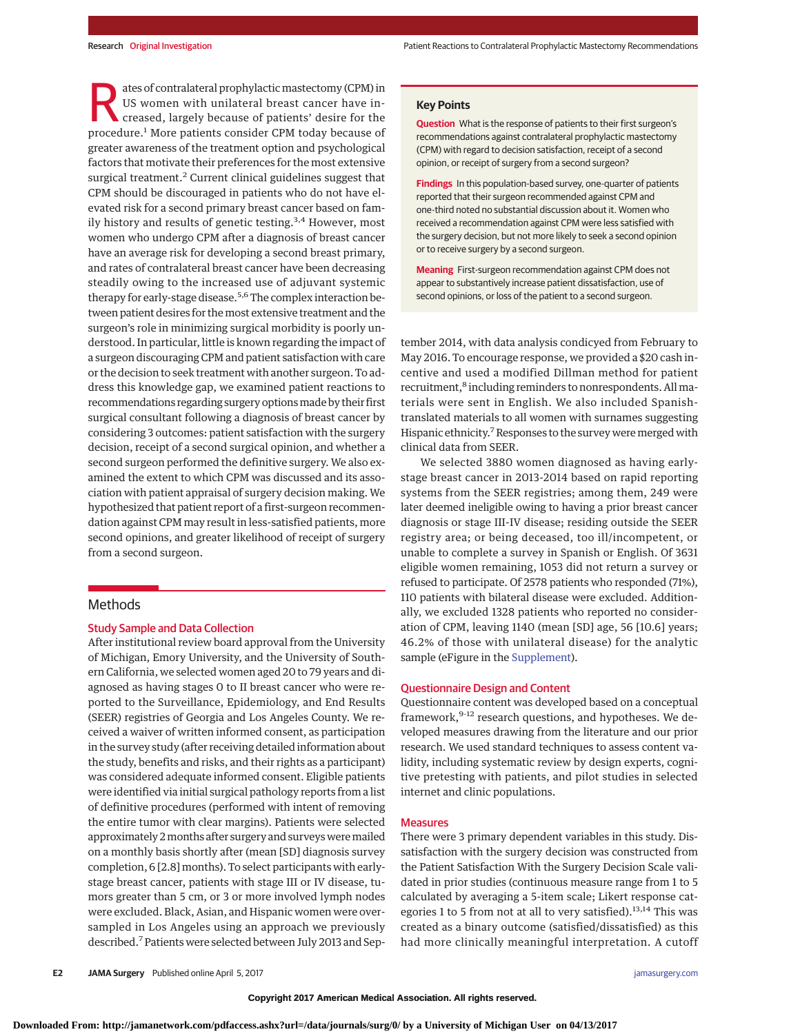Research Original Investigation **Patient Reactions to Contralateral Prophylactic Mastectomy Recommendations Patient Reactions to Contralateral Prophylactic Mastectomy Recommendations** 

ates of contralateral prophylactic mastectomy (CPM) in US women with unilateral breast cancer have increased, largely because of patients' desire for the procedure.<sup>1</sup> More patients consider CPM today because of greater awareness of the treatment option and psychological factors that motivate their preferences for the most extensive surgical treatment.<sup>2</sup> Current clinical guidelines suggest that CPM should be discouraged in patients who do not have elevated risk for a second primary breast cancer based on family history and results of genetic testing.<sup>3,4</sup> However, most women who undergo CPM after a diagnosis of breast cancer have an average risk for developing a second breast primary, and rates of contralateral breast cancer have been decreasing steadily owing to the increased use of adjuvant systemic therapy for early-stage disease.<sup>5,6</sup> The complex interaction between patient desires for themost extensive treatment and the surgeon's role in minimizing surgical morbidity is poorly understood. In particular, little is known regarding the impact of a surgeon discouraging CPM and patient satisfaction with care or the decision to seek treatment with another surgeon. To address this knowledge gap, we examined patient reactions to recommendations regarding surgery optionsmade by their first surgical consultant following a diagnosis of breast cancer by considering 3 outcomes: patient satisfaction with the surgery decision, receipt of a second surgical opinion, and whether a second surgeon performed the definitive surgery. We also examined the extent to which CPM was discussed and its association with patient appraisal of surgery decision making. We hypothesized that patient report of a first-surgeon recommendation against CPM may result in less-satisfied patients, more second opinions, and greater likelihood of receipt of surgery from a second surgeon.

# Methods

### Study Sample and Data Collection

After institutional review board approval from the University of Michigan, Emory University, and the University of Southern California, we selected women aged 20 to 79 years and diagnosed as having stages 0 to II breast cancer who were reported to the Surveillance, Epidemiology, and End Results (SEER) registries of Georgia and Los Angeles County. We received a waiver of written informed consent, as participation in the survey study (after receiving detailed information about the study, benefits and risks, and their rights as a participant) was considered adequate informed consent. Eligible patients were identified via initial surgical pathology reports from a list of definitive procedures (performed with intent of removing the entire tumor with clear margins). Patients were selected approximately 2months after surgery and surveys weremailed on a monthly basis shortly after (mean [SD] diagnosis survey completion, 6 [2.8] months). To select participants with earlystage breast cancer, patients with stage III or IV disease, tumors greater than 5 cm, or 3 or more involved lymph nodes were excluded. Black, Asian, and Hispanic women were oversampled in Los Angeles using an approach we previously described.<sup>7</sup> Patients were selected between July 2013 and Sep-

### **Key Points**

**Question** What is the response of patients to their first surgeon's recommendations against contralateral prophylactic mastectomy (CPM) with regard to decision satisfaction, receipt of a second opinion, or receipt of surgery from a second surgeon?

**Findings** In this population-based survey, one-quarter of patients reported that their surgeon recommended against CPM and one-third noted no substantial discussion about it. Women who received a recommendation against CPM were less satisfied with the surgery decision, but not more likely to seek a second opinion or to receive surgery by a second surgeon.

**Meaning** First-surgeon recommendation against CPM does not appear to substantively increase patient dissatisfaction, use of second opinions, or loss of the patient to a second surgeon.

tember 2014, with data analysis condicyed from February to May 2016. To encourage response, we provided a \$20 cash incentive and used a modified Dillman method for patient recruitment,<sup>8</sup> including reminders to nonrespondents. All materials were sent in English. We also included Spanishtranslated materials to all women with surnames suggesting Hispanic ethnicity.<sup>7</sup> Responses to the survey were merged with clinical data from SEER.

We selected 3880 women diagnosed as having earlystage breast cancer in 2013-2014 based on rapid reporting systems from the SEER registries; among them, 249 were later deemed ineligible owing to having a prior breast cancer diagnosis or stage III-IV disease; residing outside the SEER registry area; or being deceased, too ill/incompetent, or unable to complete a survey in Spanish or English. Of 3631 eligible women remaining, 1053 did not return a survey or refused to participate. Of 2578 patients who responded (71%), 110 patients with bilateral disease were excluded. Additionally, we excluded 1328 patients who reported no consideration of CPM, leaving 1140 (mean [SD] age, 56 [10.6] years; 46.2% of those with unilateral disease) for the analytic sample (eFigure in the [Supplement\)](http://jama.jamanetwork.com/article.aspx?doi=10.1001/jamasurg.2017.0458&utm_campaign=articlePDF%26utm_medium=articlePDFlink%26utm_source=articlePDF%26utm_content=jamasurg.2017.0458).

#### Questionnaire Design and Content

Questionnaire content was developed based on a conceptual framework, <sup>9-12</sup> research questions, and hypotheses. We developed measures drawing from the literature and our prior research. We used standard techniques to assess content validity, including systematic review by design experts, cognitive pretesting with patients, and pilot studies in selected internet and clinic populations.

#### Measures

There were 3 primary dependent variables in this study. Dissatisfaction with the surgery decision was constructed from the Patient Satisfaction With the Surgery Decision Scale validated in prior studies (continuous measure range from 1 to 5 calculated by averaging a 5-item scale; Likert response categories 1 to 5 from not at all to very satisfied).<sup>13,14</sup> This was created as a binary outcome (satisfied/dissatisfied) as this had more clinically meaningful interpretation. A cutoff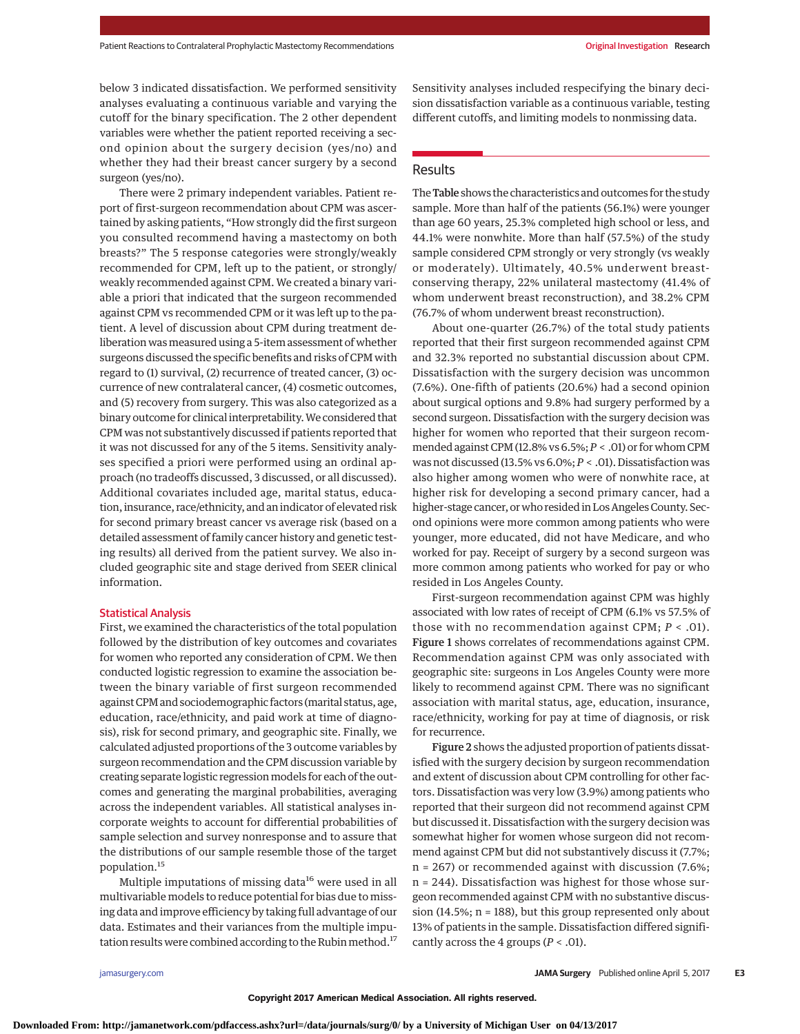below 3 indicated dissatisfaction. We performed sensitivity analyses evaluating a continuous variable and varying the cutoff for the binary specification. The 2 other dependent variables were whether the patient reported receiving a second opinion about the surgery decision (yes/no) and whether they had their breast cancer surgery by a second surgeon (yes/no).

There were 2 primary independent variables. Patient report of first-surgeon recommendation about CPM was ascertained by asking patients, "How strongly did the first surgeon you consulted recommend having a mastectomy on both breasts?" The 5 response categories were strongly/weakly recommended for CPM, left up to the patient, or strongly/ weakly recommended against CPM. We created a binary variable a priori that indicated that the surgeon recommended against CPM vs recommended CPM or it was left up to the patient. A level of discussion about CPM during treatment deliberation wasmeasured using a 5-item assessment of whether surgeons discussed the specific benefits and risks of CPM with regard to (1) survival, (2) recurrence of treated cancer, (3) occurrence of new contralateral cancer, (4) cosmetic outcomes, and (5) recovery from surgery. This was also categorized as a binary outcome for clinical interpretability.We considered that CPM was not substantively discussed if patients reported that it was not discussed for any of the 5 items. Sensitivity analyses specified a priori were performed using an ordinal approach (no tradeoffs discussed, 3 discussed, or all discussed). Additional covariates included age, marital status, education, insurance, race/ethnicity, and an indicator of elevated risk for second primary breast cancer vs average risk (based on a detailed assessment of family cancer history and genetic testing results) all derived from the patient survey. We also included geographic site and stage derived from SEER clinical information.

#### Statistical Analysis

First, we examined the characteristics of the total population followed by the distribution of key outcomes and covariates for women who reported any consideration of CPM. We then conducted logistic regression to examine the association between the binary variable of first surgeon recommended against CPM and sociodemographic factors (marital status, age, education, race/ethnicity, and paid work at time of diagnosis), risk for second primary, and geographic site. Finally, we calculated adjusted proportions of the 3 outcome variables by surgeon recommendation and the CPM discussion variable by creating separate logistic regression models for each of the outcomes and generating the marginal probabilities, averaging across the independent variables. All statistical analyses incorporate weights to account for differential probabilities of sample selection and survey nonresponse and to assure that the distributions of our sample resemble those of the target population.<sup>15</sup>

Multiple imputations of missing data<sup>16</sup> were used in all multivariable models to reduce potential for bias due to missing data and improve efficiency by taking full advantage of our data. Estimates and their variances from the multiple imputation results were combined according to the Rubin method.<sup>17</sup>

Sensitivity analyses included respecifying the binary decision dissatisfaction variable as a continuous variable, testing different cutoffs, and limiting models to nonmissing data.

## Results

The Table shows the characteristics and outcomes for the study sample. More than half of the patients (56.1%) were younger than age 60 years, 25.3% completed high school or less, and 44.1% were nonwhite. More than half (57.5%) of the study sample considered CPM strongly or very strongly (vs weakly or moderately). Ultimately, 40.5% underwent breastconserving therapy, 22% unilateral mastectomy (41.4% of whom underwent breast reconstruction), and 38.2% CPM (76.7% of whom underwent breast reconstruction).

About one-quarter (26.7%) of the total study patients reported that their first surgeon recommended against CPM and 32.3% reported no substantial discussion about CPM. Dissatisfaction with the surgery decision was uncommon (7.6%). One-fifth of patients (20.6%) had a second opinion about surgical options and 9.8% had surgery performed by a second surgeon. Dissatisfaction with the surgery decision was higher for women who reported that their surgeon recommended against CPM (12.8% vs 6.5%;*P* < .01) or for whom CPM was not discussed (13.5% vs 6.0%; *P* < .01). Dissatisfaction was also higher among women who were of nonwhite race, at higher risk for developing a second primary cancer, had a higher-stage cancer, or who resided in Los Angeles County. Second opinions were more common among patients who were younger, more educated, did not have Medicare, and who worked for pay. Receipt of surgery by a second surgeon was more common among patients who worked for pay or who resided in Los Angeles County.

First-surgeon recommendation against CPM was highly associated with low rates of receipt of CPM (6.1% vs 57.5% of those with no recommendation against CPM; *P* < .01). Figure 1 shows correlates of recommendations against CPM. Recommendation against CPM was only associated with geographic site: surgeons in Los Angeles County were more likely to recommend against CPM. There was no significant association with marital status, age, education, insurance, race/ethnicity, working for pay at time of diagnosis, or risk for recurrence.

Figure 2 shows the adjusted proportion of patients dissatisfied with the surgery decision by surgeon recommendation and extent of discussion about CPM controlling for other factors. Dissatisfaction was very low (3.9%) among patients who reported that their surgeon did not recommend against CPM but discussed it. Dissatisfaction with the surgery decision was somewhat higher for women whose surgeon did not recommend against CPM but did not substantively discuss it (7.7%; n = 267) or recommended against with discussion (7.6%; n = 244). Dissatisfaction was highest for those whose surgeon recommended against CPM with no substantive discussion (14.5%;  $n = 188$ ), but this group represented only about 13% of patients in the sample. Dissatisfaction differed significantly across the 4 groups (*P* < .01).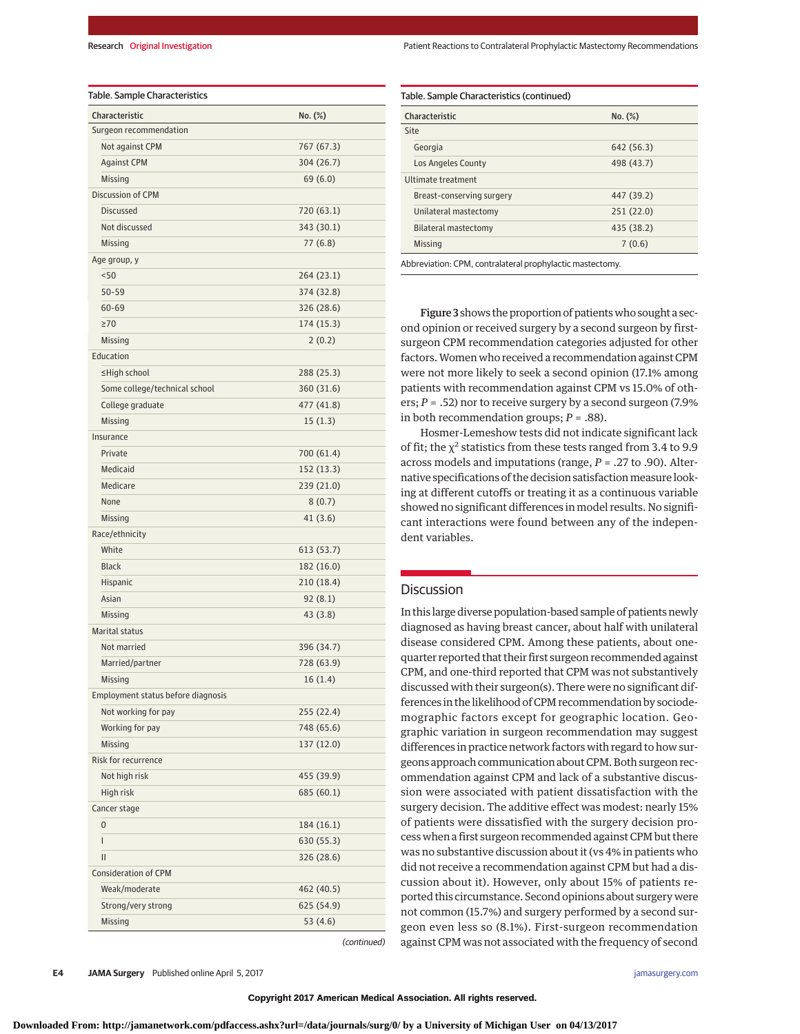| Table. Sample Characteristics      |             |  |
|------------------------------------|-------------|--|
| Characteristic                     | No. (%)     |  |
| Surgeon recommendation             |             |  |
| Not against CPM                    | 767 (67.3)  |  |
| <b>Against CPM</b>                 | 304 (26.7)  |  |
| Missing                            | 69(6.0)     |  |
| Discussion of CPM                  |             |  |
| <b>Discussed</b>                   | 720 (63.1)  |  |
| Not discussed                      | 343 (30.1)  |  |
| Missing                            | 77(6.8)     |  |
| Age group, y                       |             |  |
| 50                                 | 264 (23.1)  |  |
| $50 - 59$                          | 374 (32.8)  |  |
| 60-69                              | 326 (28.6)  |  |
| $\geq 70$                          | 174 (15.3)  |  |
| Missing                            | 2(0.2)      |  |
| Education                          |             |  |
| ≤High school                       | 288 (25.3)  |  |
| Some college/technical school      | 360 (31.6)  |  |
| College graduate                   | 477 (41.8)  |  |
| Missing                            | 15(1.3)     |  |
| Insurance                          |             |  |
| Private                            | 700 (61.4)  |  |
| Medicaid                           | 152 (13.3)  |  |
| Medicare                           | 239 (21.0)  |  |
| None                               | 8(0.7)      |  |
| Missing                            | 41(3.6)     |  |
| Race/ethnicity                     |             |  |
| White                              | 613 (53.7)  |  |
| <b>Black</b>                       | 182 (16.0)  |  |
| Hispanic                           | 210 (18.4)  |  |
| Asian                              | 92(8.1)     |  |
| Missing                            | 43 (3.8)    |  |
| <b>Marital status</b>              |             |  |
| Not married                        | 396 (34.7)  |  |
| Married/partner                    | 728 (63.9)  |  |
| Missing                            | 16(1.4)     |  |
| Employment status before diagnosis |             |  |
| Not working for pay                | 255 (22.4)  |  |
| Working for pay                    | 748 (65.6)  |  |
| Missing                            | 137 (12.0)  |  |
| Risk for recurrence                |             |  |
| Not high risk                      | 455 (39.9)  |  |
| High risk                          | 685 (60.1)  |  |
| Cancer stage                       |             |  |
| 0                                  | 184 (16.1)  |  |
| I                                  | 630 (55.3)  |  |
| Ш                                  | 326 (28.6)  |  |
| <b>Consideration of CPM</b>        |             |  |
| Weak/moderate                      | 462 (40.5)  |  |
| Strong/very strong                 | 625 (54.9)  |  |
| Missing                            | 53 (4.6)    |  |
|                                    | (continued) |  |

Research Original Investigation **Patient Reactions to Contralateral Prophylactic Mastectomy Recommendations Patient Reactions to Contralateral Prophylactic Mastectomy Recommendations** 

| Characteristic            | No. (%)    |
|---------------------------|------------|
| Site                      |            |
| Georgia                   | 642 (56.3) |
| Los Angeles County        | 498 (43.7) |
| Ultimate treatment        |            |
| Breast-conserving surgery | 447 (39.2) |
| Unilateral mastectomy     | 251 (22.0) |
| Bilateral mastectomy      | 435 (38.2) |
| Missing                   | 7(0.6)     |

Figure 3 shows the proportion of patients who sought a second opinion or received surgery by a second surgeon by firstsurgeon CPM recommendation categories adjusted for other factors.Women who received a recommendation against CPM were not more likely to seek a second opinion (17.1% among patients with recommendation against CPM vs 15.0% of others; *P* = .52) nor to receive surgery by a second surgeon (7.9% in both recommendation groups; *P* = .88).

Hosmer-Lemeshow tests did not indicate significant lack of fit; the  $\chi^2$  statistics from these tests ranged from 3.4 to 9.9 across models and imputations (range, *P* = .27 to .90). Alternative specifications of the decision satisfaction measure looking at different cutoffs or treating it as a continuous variable showed no significant differences in model results. No significant interactions were found between any of the independent variables.

# **Discussion**

In this large diverse population-based sample of patients newly diagnosed as having breast cancer, about half with unilateral disease considered CPM. Among these patients, about onequarter reported that their first surgeon recommended against CPM, and one-third reported that CPM was not substantively discussed with their surgeon(s). There were no significant differences in the likelihood of CPM recommendation by sociodemographic factors except for geographic location. Geographic variation in surgeon recommendation may suggest differences in practice network factors with regard to how surgeons approach communication about CPM. Both surgeon recommendation against CPM and lack of a substantive discussion were associated with patient dissatisfaction with the surgery decision. The additive effect was modest: nearly 15% of patients were dissatisfied with the surgery decision process when a first surgeon recommended against CPM but there was no substantive discussion about it (vs 4% in patients who did not receive a recommendation against CPM but had a discussion about it). However, only about 15% of patients reported this circumstance. Second opinions about surgery were not common (15.7%) and surgery performed by a second surgeon even less so (8.1%). First-surgeon recommendation against CPM was not associated with the frequency of second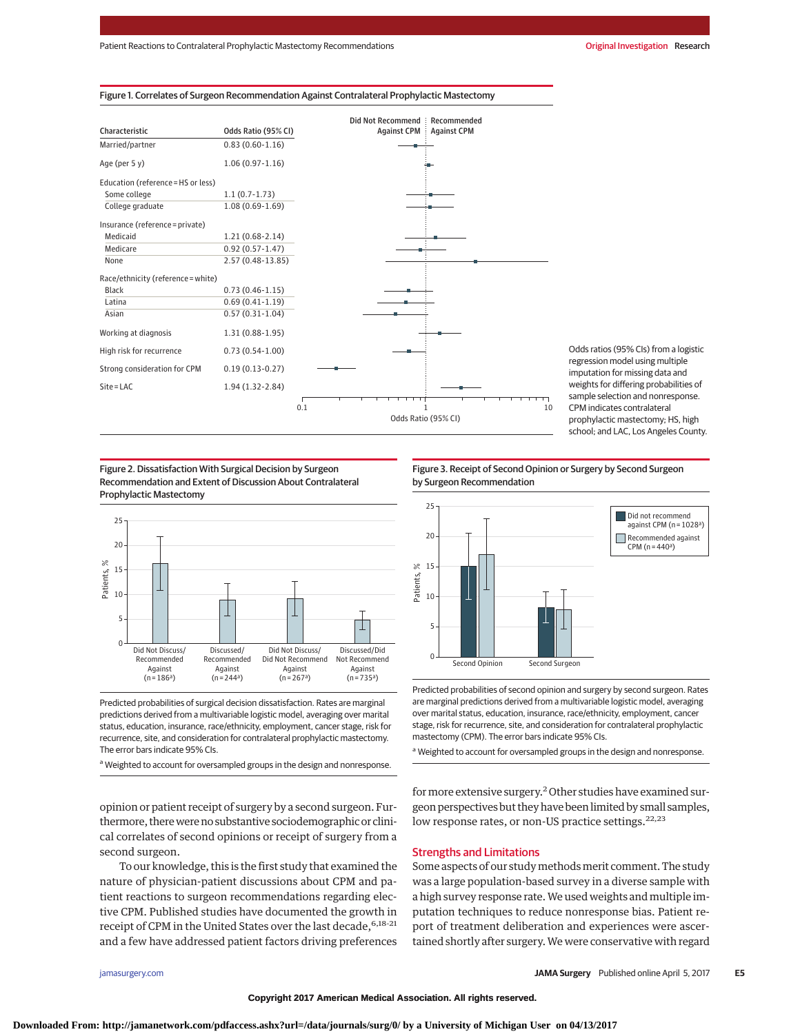#### Figure 1. Correlates of Surgeon Recommendation Against Contralateral Prophylactic Mastectomy

|                                    |                     | Did Not Recommend<br>Recommended         |
|------------------------------------|---------------------|------------------------------------------|
| Characteristic                     | Odds Ratio (95% CI) | <b>Against CPM</b><br><b>Against CPM</b> |
| Married/partner                    | $0.83(0.60-1.16)$   |                                          |
| Age (per 5 y)                      | $1.06(0.97-1.16)$   |                                          |
| Education (reference = HS or less) |                     |                                          |
| Some college                       | $1.1(0.7-1.73)$     |                                          |
| College graduate                   | $1.08(0.69-1.69)$   |                                          |
| Insurance (reference = private)    |                     |                                          |
| Medicaid                           | $1.21(0.68-2.14)$   |                                          |
| Medicare                           | $0.92(0.57 - 1.47)$ |                                          |
| None                               | 2.57 (0.48-13.85)   |                                          |
| Race/ethnicity (reference=white)   |                     |                                          |
| Black                              | $0.73(0.46-1.15)$   |                                          |
| Latina                             | $0.69(0.41-1.19)$   |                                          |
| Asian                              | $0.57(0.31-1.04)$   |                                          |
| Working at diagnosis               | $1.31(0.88-1.95)$   |                                          |
| High risk for recurrence           | $0.73(0.54-1.00)$   |                                          |
| Strong consideration for CPM       | $0.19(0.13-0.27)$   |                                          |
| $Site = LAC$                       | 1.94 (1.32-2.84)    |                                          |
|                                    |                     | 0.1<br>1                                 |
|                                    |                     | 10<br>Odds Ratio (95% CI)                |
|                                    |                     |                                          |

Odds ratios (95% CIs) from a logistic regression model using multiple imputation for missing data and weights for differing probabilities of sample selection and nonresponse. CPM indicates contralateral prophylactic mastectomy; HS, high school; and LAC, Los Angeles County.

Figure 2. Dissatisfaction With Surgical Decision by Surgeon Recommendation and Extent of Discussion About Contralateral Prophylactic Mastectomy



Predicted probabilities of surgical decision dissatisfaction. Rates are marginal predictions derived from a multivariable logistic model, averaging over marital status, education, insurance, race/ethnicity, employment, cancer stage, risk for recurrence, site, and consideration for contralateral prophylactic mastectomy. The error bars indicate 95% CIs.

a Weighted to account for oversampled groups in the design and nonresponse.

opinion or patient receipt of surgery by a second surgeon. Furthermore, therewere no substantive sociodemographic or clinical correlates of second opinions or receipt of surgery from a second surgeon.

To our knowledge, this is the first study that examined the nature of physician-patient discussions about CPM and patient reactions to surgeon recommendations regarding elective CPM. Published studies have documented the growth in receipt of CPM in the United States over the last decade, 6,18-21 and a few have addressed patient factors driving preferences

Figure 3. Receipt of Second Opinion or Surgery by Second Surgeon by Surgeon Recommendation



Predicted probabilities of second opinion and surgery by second surgeon. Rates are marginal predictions derived from a multivariable logistic model, averaging over marital status, education, insurance, race/ethnicity, employment, cancer stage, risk for recurrence, site, and consideration for contralateral prophylactic mastectomy (CPM). The error bars indicate 95% CIs.

<sup>a</sup> Weighted to account for oversampled groups in the design and nonresponse.

for more extensive surgery.<sup>2</sup> Other studies have examined surgeon perspectives but they have been limited by small samples, low response rates, or non-US practice settings.<sup>22,23</sup>

### Strengths and Limitations

Some aspects of our study methods merit comment. The study was a large population-based survey in a diverse sample with a high survey response rate.We used weights and multiple imputation techniques to reduce nonresponse bias. Patient report of treatment deliberation and experiences were ascertained shortly after surgery.We were conservative with regard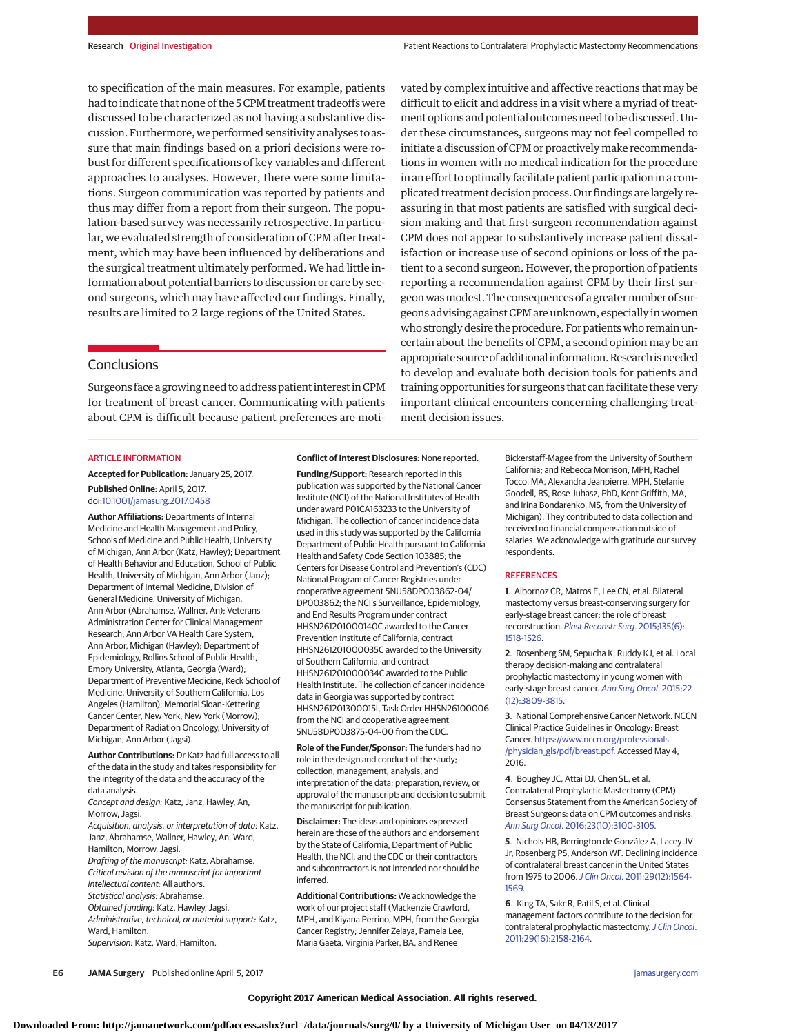to specification of the main measures. For example, patients had to indicate that none of the 5 CPM treatment tradeoffs were discussed to be characterized as not having a substantive discussion. Furthermore, we performed sensitivity analyses to assure that main findings based on a priori decisions were robust for different specifications of key variables and different approaches to analyses. However, there were some limitations. Surgeon communication was reported by patients and thus may differ from a report from their surgeon. The population-based survey was necessarily retrospective. In particular, we evaluated strength of consideration of CPM after treatment, which may have been influenced by deliberations and the surgical treatment ultimately performed. We had little information about potential barriers to discussion or care by second surgeons, which may have affected our findings. Finally, results are limited to 2 large regions of the United States.

# **Conclusions**

Surgeons face a growing need to address patient interest in CPM for treatment of breast cancer. Communicating with patients about CPM is difficult because patient preferences are moti-

#### ARTICLE INFORMATION

**Accepted for Publication:** January 25, 2017.

**Published Online:** April 5, 2017. doi[:10.1001/jamasurg.2017.0458](http://jama.jamanetwork.com/article.aspx?doi=10.1001/jamasurg.2017.0458&utm_campaign=articlePDF%26utm_medium=articlePDFlink%26utm_source=articlePDF%26utm_content=jamasurg.2017.0458)

**Author Affiliations:** Departments of Internal Medicine and Health Management and Policy, Schools of Medicine and Public Health, University of Michigan, Ann Arbor (Katz, Hawley); Department of Health Behavior and Education, School of Public Health, University of Michigan, Ann Arbor (Janz); Department of Internal Medicine, Division of General Medicine, University of Michigan, Ann Arbor (Abrahamse, Wallner, An); Veterans Administration Center for Clinical Management Research, Ann Arbor VA Health Care System, Ann Arbor, Michigan (Hawley); Department of Epidemiology, Rollins School of Public Health, Emory University, Atlanta, Georgia (Ward); Department of Preventive Medicine, Keck School of Medicine, University of Southern California, Los Angeles (Hamilton); Memorial Sloan-Kettering Cancer Center, New York, New York (Morrow); Department of Radiation Oncology, University of Michigan, Ann Arbor (Jagsi).

**Author Contributions:** Dr Katz had full access to all of the data in the study and takes responsibility for the integrity of the data and the accuracy of the data analysis.

Concept and design: Katz, Janz, Hawley, An, Morrow, Jagsi.

Acquisition, analysis, or interpretation of data: Katz, Janz, Abrahamse, Wallner, Hawley, An, Ward, Hamilton, Morrow, Jagsi.

Drafting of the manuscript: Katz, Abrahamse. Critical revision of the manuscript for important intellectual content: All authors. Statistical analysis: Abrahamse. Obtained funding: Katz, Hawley, Jagsi. Administrative, technical, or material support: Katz, Ward, Hamilton.

Supervision: Katz, Ward, Hamilton.

**Conflict of Interest Disclosures:** None reported.

**Funding/Support:** Research reported in this publication was supported by the National Cancer Institute (NCI) of the National Institutes of Health under award P01CA163233 to the University of Michigan. The collection of cancer incidence data used in this study was supported by the California Department of Public Health pursuant to California Health and Safety Code Section 103885; the Centers for Disease Control and Prevention's (CDC) National Program of Cancer Registries under cooperative agreement 5NU58DP003862-04/ DP003862; the NCI's Surveillance, Epidemiology, and End Results Program under contract HHSN261201000140C awarded to the Cancer Prevention Institute of California, contract HHSN261201000035C awarded to the University of Southern California, and contract HHSN261201000034C awarded to the Public Health Institute. The collection of cancer incidence data in Georgia was supported by contract HHSN261201300015I, Task Order HHSN26100006 from the NCI and cooperative agreement 5NU58DP003875-04-00 from the CDC.

**Role of the Funder/Sponsor:** The funders had no role in the design and conduct of the study; collection, management, analysis, and interpretation of the data; preparation, review, or approval of the manuscript; and decision to submit the manuscript for publication.

**Disclaimer:** The ideas and opinions expressed herein are those of the authors and endorsement by the State of California, Department of Public Health, the NCI, and the CDC or their contractors and subcontractors is not intended nor should be inferred.

**Additional Contributions:** We acknowledge the work of our project staff (Mackenzie Crawford, MPH, and Kiyana Perrino, MPH, from the Georgia Cancer Registry; Jennifer Zelaya, Pamela Lee, Maria Gaeta, Virginia Parker, BA, and Renee

vated by complex intuitive and affective reactions that may be difficult to elicit and address in a visit where a myriad of treatment options and potential outcomes need to be discussed. Under these circumstances, surgeons may not feel compelled to initiate a discussion of CPM or proactively make recommendations in women with no medical indication for the procedure in an effort to optimally facilitate patient participation in a complicated treatment decision process. Our findings are largely reassuring in that most patients are satisfied with surgical decision making and that first-surgeon recommendation against CPM does not appear to substantively increase patient dissatisfaction or increase use of second opinions or loss of the patient to a second surgeon. However, the proportion of patients reporting a recommendation against CPM by their first surgeonwasmodest. The consequences of a greater number of surgeons advising against CPM are unknown, especially in women who strongly desire the procedure. For patients who remain uncertain about the benefits of CPM, a second opinion may be an appropriate source of additional information. Research is needed to develop and evaluate both decision tools for patients and training opportunities for surgeons that can facilitate these very important clinical encounters concerning challenging treatment decision issues.

> Bickerstaff-Magee from the University of Southern California; and Rebecca Morrison, MPH, Rachel Tocco, MA, Alexandra Jeanpierre, MPH, Stefanie Goodell, BS, Rose Juhasz, PhD, Kent Griffith, MA, and Irina Bondarenko, MS, from the University of Michigan). They contributed to data collection and received no financial compensation outside of salaries. We acknowledge with gratitude our survey respondents.

#### **REFERENCES**

**1**. Albornoz CR, Matros E, Lee CN, et al. Bilateral mastectomy versus breast-conserving surgery for early-stage breast cancer: the role of breast reconstruction. [Plast Reconstr Surg](https://www.ncbi.nlm.nih.gov/pubmed/26017588). 2015;135(6): [1518-1526.](https://www.ncbi.nlm.nih.gov/pubmed/26017588)

**2**. Rosenberg SM, Sepucha K, Ruddy KJ, et al. Local therapy decision-making and contralateral prophylactic mastectomy in young women with early-stage breast cancer. [Ann Surg Oncol](https://www.ncbi.nlm.nih.gov/pubmed/25930247). 2015;22 [\(12\):3809-3815.](https://www.ncbi.nlm.nih.gov/pubmed/25930247)

**3**. National Comprehensive Cancer Network. NCCN Clinical Practice Guidelines in Oncology: Breast Cancer. [https://www.nccn.org/professionals](https://www.nccn.org/professionals/physician_gls/pdf/breast.pdf) [/physician\\_gls/pdf/breast.pdf.](https://www.nccn.org/professionals/physician_gls/pdf/breast.pdf) Accessed May 4, 2016.

**4**. Boughey JC, Attai DJ, Chen SL, et al. Contralateral Prophylactic Mastectomy (CPM) Consensus Statement from the American Society of Breast Surgeons: data on CPM outcomes and risks. Ann Surg Oncol[. 2016;23\(10\):3100-3105.](https://www.ncbi.nlm.nih.gov/pubmed/27469117)

**5**. Nichols HB, Berrington de González A, Lacey JV Jr, Rosenberg PS, Anderson WF. Declining incidence of contralateral breast cancer in the United States from 1975 to 2006. J Clin Oncol[. 2011;29\(12\):1564-](https://www.ncbi.nlm.nih.gov/pubmed/21402610) [1569.](https://www.ncbi.nlm.nih.gov/pubmed/21402610)

**6**. King TA, Sakr R, Patil S, et al. Clinical management factors contribute to the decision for contralateral prophylactic mastectomy. [J Clin Oncol](https://www.ncbi.nlm.nih.gov/pubmed/21464413). [2011;29\(16\):2158-2164.](https://www.ncbi.nlm.nih.gov/pubmed/21464413)